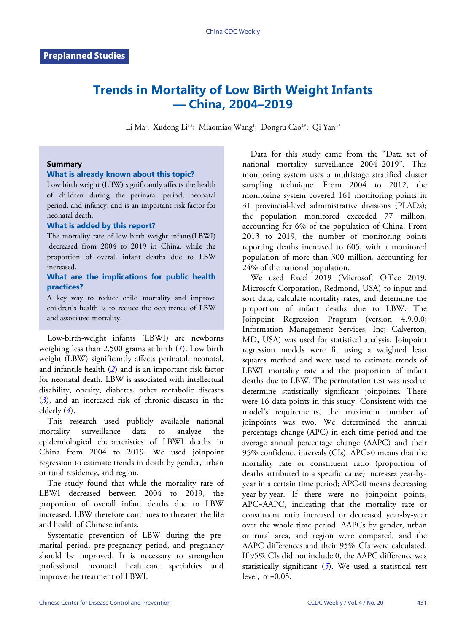# **Trends in Mortality of Low Birth Weight Infants — China, 2004–2019**

Li Ma'; Xudong Li½#; Miaomiao Wang'; Dongru Cao2#; Qi Yan3#

### **Summary**

### **What is already known about this topic?**

Low birth weight (LBW) significantly affects the health of children during the perinatal period, neonatal period, and infancy, and is an important risk factor for neonatal death.

#### **What is added by this report?**

The mortality rate of low birth weight infants(LBWI) decreased from 2004 to 2019 in China, while the proportion of overall infant deaths due to LBW increased.

## **What are the implications for public health practices?**

A key way to reduce child mortality and improve children's health is to reduce the occurrence of LBW and associated mortality.

Low-birth-weight infants (LBWI) are newborns weighing less than 2,500 grams at birth (*[1](#page-5-0)*). Low birth weight (LBW) significantly affects perinatal, neonatal, and infantile health (*[2](#page-5-1)*) and is an important risk factor for neonatal death. LBW is associated with intellectual disability, obesity, diabetes, other metabolic diseases (*[3](#page-5-2)*), and an increased risk of chronic diseases in the elderly (*[4](#page-5-3)*).

This research used publicly available national mortality surveillance data to analyze the epidemiological characteristics of LBWI deaths in China from 2004 to 2019. We used joinpoint regression to estimate trends in death by gender, urban or rural residency, and region.

The study found that while the mortality rate of LBWI decreased between 2004 to 2019, the proportion of overall infant deaths due to LBW increased. LBW therefore continues to threaten the life and health of Chinese infants.

Systematic prevention of LBW during the premarital period, pre-pregnancy period, and pregnancy should be improved. It is necessary to strengthen professional neonatal healthcare specialties and improve the treatment of LBWI.

Data for this study came from the "Data set of national mortality surveillance 2004–2019". This monitoring system uses a multistage stratified cluster sampling technique. From 2004 to 2012, the monitoring system covered 161 monitoring points in 31 provincial-level administrative divisions (PLADs); the population monitored exceeded 77 million, accounting for 6% of the population of China. From 2013 to 2019, the number of monitoring points reporting deaths increased to 605, with a monitored population of more than 300 million, accounting for 24% of the national population.

We used Excel 2019 (Microsoft Office 2019, Microsoft Corporation, Redmond, USA) to input and sort data, calculate mortality rates, and determine the proportion of infant deaths due to LBW. The Joinpoint Regression Program (version 4.9.0.0; Information Management Services, Inc; Calverton, MD, USA) was used for statistical analysis. Joinpoint regression models were fit using a weighted least squares method and were used to estimate trends of LBWI mortality rate and the proportion of infant deaths due to LBW. The permutation test was used to determine statistically significant joinpoints. There were 16 data points in this study. Consistent with the model's requirements, the maximum number of joinpoints was two. We determined the annual percentage change (APC) in each time period and the average annual percentage change (AAPC) and their 95% confidence intervals (CIs). APC>0 means that the mortality rate or constituent ratio (proportion of deaths attributed to a specific cause) increases year-byyear in a certain time period; APC<0 means decreasing year-by-year. If there were no joinpoint points, APC=AAPC, indicating that the mortality rate or constituent ratio increased or decreased year-by-year over the whole time period. AAPCs by gender, urban or rural area, and region were compared, and the AAPC differences and their 95% CIs were calculated. If 95% CIs did not include 0, the AAPC difference was statistically significant (*[5](#page-5-4)*). We used a statistical test level,  $\alpha = 0.05$ .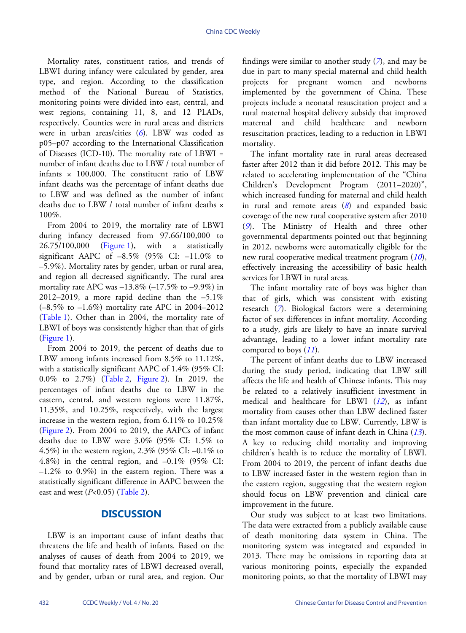Mortality rates, constituent ratios, and trends of LBWI during infancy were calculated by gender, area type, and region. According to the classification method of the National Bureau of Statistics, monitoring points were divided into east, central, and west regions, containing 11, 8, and 12 PLADs, respectively. Counties were in rural areas and districts were in urban areas/cities (*[6](#page-5-5)*). LBW was coded as p05–p07 according to the International Classification of Diseases  $(ICD-10)$ . The mortality rate of LBWI = number of infant deaths due to LBW / total number of infants  $\times$  100,000. The constituent ratio of LBW infant deaths was the percentage of infant deaths due to LBW and was defined as the number of infant deaths due to LBW / total number of infant deaths  $\times$ 100%.

From 2004 to 2019, the mortality rate of LBWI during infancy decreased from 97.66/100,000 to 26.75/100,000 ([Figure 1](#page-2-0)), with a statistically significant AAPC of  $-8.5\%$  (95% CI:  $-11.0\%$  to –5.9%). Mortality rates by gender, urban or rural area, and region all decreased significantly. The rural area mortality rate APC was  $-13.8\%$  ( $-17.5\%$  to  $-9.9\%$ ) in 2012–2019, a more rapid decline than the  $-5.1\%$ (–8.5% to –1.6%) mortality rate APC in 2004–2012 ([Table 1](#page-3-0)). Other than in 2004, the mortality rate of LBWI of boys was consistently higher than that of girls ([Figure 1](#page-2-0)).

From 2004 to 2019, the percent of deaths due to LBW among infants increased from 8.5% to 11.12%, with a statistically significant AAPC of 1.4% (95% CI: 0.0% to 2.7%) ([Table 2](#page-3-1), [Figure 2\)](#page-4-0). In 2019, the percentages of infant deaths due to LBW in the eastern, central, and western regions were 11.87%, 11.35%, and 10.25%, respectively, with the largest increase in the western region, from 6.11% to 10.25% ([Figure 2](#page-4-0)). From 2004 to 2019, the AAPCs of infant deaths due to LBW were 3.0% (95% CI: 1.5% to 4.5%) in the western region, 2.3% (95% CI: –0.1% to 4.8%) in the central region, and  $-0.1\%$  (95% CI:  $-1.2\%$  to 0.9%) in the eastern region. There was a statistically significant difference in AAPC between the east and west (*P*<0.05) [\(Table 2](#page-3-1)).

# **DISCUSSION**

LBW is an important cause of infant deaths that threatens the life and health of infants. Based on the analyses of causes of death from 2004 to 2019, we found that mortality rates of LBWI decreased overall, and by gender, urban or rural area, and region. Our findings were similar to another study (*[7](#page-5-6)*), and may be due in part to many special maternal and child health projects for pregnant women and newborns implemented by the government of China. These projects include a neonatal resuscitation project and a rural maternal hospital delivery subsidy that improved maternal and child healthcare and newborn resuscitation practices, leading to a reduction in LBWI mortality.

The infant mortality rate in rural areas decreased faster after 2012 than it did before 2012. This may be related to accelerating implementation of the "China Children's Development Program (2011–2020)", which increased funding for maternal and child health in rural and remote areas (*[8](#page-5-7)*) and expanded basic coverage of the new rural cooperative system after 2010 (*[9](#page-5-8)*). The Ministry of Health and three other governmental departments pointed out that beginning in 2012, newborns were automatically eligible for the new rural cooperative medical treatment program (*[10](#page-5-9)*), effectively increasing the accessibility of basic health services for LBWI in rural areas.

The infant mortality rate of boys was higher than that of girls, which was consistent with existing research (*[7](#page-5-6)*). Biological factors were a determining factor of sex differences in infant mortality. According to a study, girls are likely to have an innate survival advantage, leading to a lower infant mortality rate compared to boys (*[11](#page-5-10)*).

The percent of infant deaths due to LBW increased during the study period, indicating that LBW still affects the life and health of Chinese infants. This may be related to a relatively insufficient investment in medical and healthcare for LBWI (*[12](#page-5-11)*), as infant mortality from causes other than LBW declined faster than infant mortality due to LBW. Currently, LBW is the most common cause of infant death in China (*[13](#page-5-12)*). A key to reducing child mortality and improving children's health is to reduce the mortality of LBWI. From 2004 to 2019, the percent of infant deaths due to LBW increased faster in the western region than in the eastern region, suggesting that the western region should focus on LBW prevention and clinical care improvement in the future.

Our study was subject to at least two limitations. The data were extracted from a publicly available cause of death monitoring data system in China. The monitoring system was integrated and expanded in 2013. There may be omissions in reporting data at various monitoring points, especially the expanded monitoring points, so that the mortality of LBWI may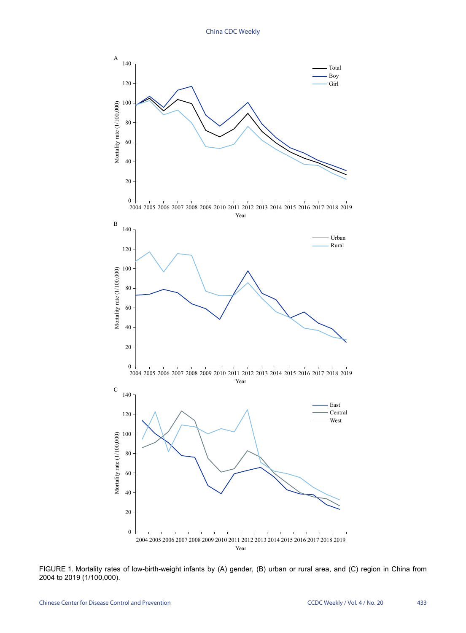<span id="page-2-0"></span>

FIGURE 1. Mortality rates of low-birth-weight infants by (A) gender, (B) urban or rural area, and (C) region in China from 2004 to 2019 (1/100,000).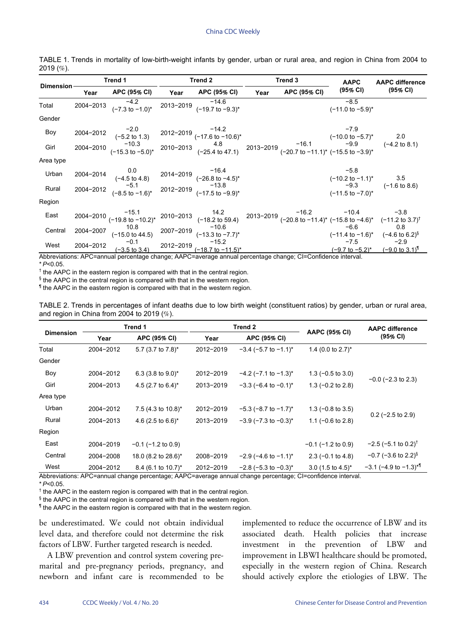| <b>Dimension</b> | Trend 1   |                                                                        | Trend 2 |                                                                                                                                                                                                                                                                                                       | Trend 3 |              | <b>AAPC</b>                                                       | <b>AAPC difference</b>                                                           |
|------------------|-----------|------------------------------------------------------------------------|---------|-------------------------------------------------------------------------------------------------------------------------------------------------------------------------------------------------------------------------------------------------------------------------------------------------------|---------|--------------|-------------------------------------------------------------------|----------------------------------------------------------------------------------|
|                  | Year      | APC (95% CI)   Year  APC (95% CI)                                      |         |                                                                                                                                                                                                                                                                                                       | Year    | APC (95% CI) | (95% CI)                                                          | (95% CI)                                                                         |
| Total            | 2004-2013 | $-4.2$<br>(-7.3 to -1.0)* 2013-2019 (-19.7 to -9.3)*                   |         |                                                                                                                                                                                                                                                                                                       |         |              | $-8.5$<br>$(-11.0 \text{ to } -5.9)^*$                            |                                                                                  |
| Gender           |           |                                                                        |         |                                                                                                                                                                                                                                                                                                       |         |              |                                                                   |                                                                                  |
| Boy              |           |                                                                        |         | 2004-2012 $^{-2.0}$<br>$(-5.2 \text{ to } 1.3)$ 2012-2019 $^{-14.2}$<br>$(-17.6 \text{ to } -10.6)^*$                                                                                                                                                                                                 |         |              | $-7.9$                                                            |                                                                                  |
| Girl             |           |                                                                        |         | 2004-2012<br>$(2004-2012$ $(-5.2 \text{ to } 1.3)$<br>$(2004-2010)$ $(2013-2010)$ $(-10.3 \text{ to } -5.2)^*$<br>$(2004-2010)$ $(-15.3 \text{ to } -5.0)^*$<br>$(2010-2013)$ $(-25.4 \text{ to } 47.1)$<br>$(-25.4 \text{ to } 47.1)$<br>$(2013-2019)$ $(-20.7 \text{ to } -11.1)^*$ $(-15.5 \text{$ |         |              |                                                                   |                                                                                  |
| Area type        |           |                                                                        |         |                                                                                                                                                                                                                                                                                                       |         |              |                                                                   |                                                                                  |
| Urban            | 2004-2014 | 0.0 -16.4<br>(-4.5 to 4.8) 2014-2019 (-26.8 to -4.5)*                  |         |                                                                                                                                                                                                                                                                                                       |         |              | $-5.8$<br>$(-10.2 \text{ to } -1.1)^*$ 3.5                        |                                                                                  |
| Rural            |           | $2004 - 2012$ $-5.1$ $-1.6$ $+ 2012 - 2019$ $-17.5$ to $-9.9$ $+ 13.8$ |         |                                                                                                                                                                                                                                                                                                       |         |              | $(-11.5 \text{ to } -7.0)^*$                                      | $-9.3$ $(-1.6 \text{ to } 8.6)$                                                  |
| Region           |           |                                                                        |         |                                                                                                                                                                                                                                                                                                       |         |              |                                                                   |                                                                                  |
| East             |           |                                                                        |         | 2004-2010 <sup>-15.1</sup> <sup>-15.1</sup> <sup>-16.2</sup> -16.2 <sup>-16.2</sup> -10.4 <sup>-15.1</sup> (-19.8 to -10.2) <sup>*</sup> <sup>2010-2013</sup> (-18.2 to 59.4) <sup>2013-2019</sup> (-20.8 to -11.4) <sup>*</sup> (-15.8 to -4.6) <sup>*</sup> (-11.2 to 3.7) <sup>†</sup>             |         |              |                                                                   |                                                                                  |
| Central          | 2004-2007 | 10.8 $-10.6$<br>(-15.0 to 44.5) 2007-2019 $(-13.3 \text{ to } -7.7)^*$ |         |                                                                                                                                                                                                                                                                                                       |         |              | $-6.6$<br>$(-11.4 \text{ to } -1.6)^*$ $(-4.6 \text{ to } 6.2)^8$ | 0.8                                                                              |
| West             | 2004-2012 | $-0.1$<br>$(-3.5 \text{ to } 3.4)$                                     |         | $-15.2$<br>-2012-2019 (-18.7 to -11.5)*                                                                                                                                                                                                                                                               |         |              |                                                                   | $-7.5$ $-2.9$<br>$(-9.7 \text{ to } -5.2)^*$ $(-9.0 \text{ to } 3.1)^{\text{T}}$ |

<span id="page-3-0"></span>TABLE 1. Trends in mortality of low-birth-weight infants by gender, urban or rural area, and region in China from 2004 to 2019 (%).

Abbreviations: APC=annual percentage change; AAPC=average annual percentage change; CI=Confidence interval. \* *P*<0.05.

<sup>†</sup> the AAPC in the eastern region is compared with that in the central region.

§ the AAPC in the central region is compared with that in the western region.

¶ the AAPC in the eastern region is compared with that in the western region.

<span id="page-3-1"></span>TABLE 2. Trends in percentages of infant deaths due to low birth weight (constituent ratios) by gender, urban or rural area, and region in China from 2004 to 2019 (%).

|                  |           | Trend 1                 |           | Trend 2                         |                              | <b>AAPC difference</b><br>(95% CI)    |  |
|------------------|-----------|-------------------------|-----------|---------------------------------|------------------------------|---------------------------------------|--|
| <b>Dimension</b> | Year      | APC (95% CI)            | Year      | APC (95% CI)                    | AAPC (95% CI)                |                                       |  |
| Total            | 2004-2012 | 5.7 (3.7 to 7.8)*       | 2012-2019 | $-3.4$ (-5.7 to $-1.1$ )*       | 1.4 (0.0 to $2.7$ )*         |                                       |  |
| Gender           |           |                         |           |                                 |                              |                                       |  |
| Boy              | 2004-2012 | 6.3 (3.8 to $9.0$ )*    | 2012-2019 | $-4.2$ ( $-7.1$ to $-1.3$ )*    | $1.3$ (-0.5 to 3.0)          |                                       |  |
| Girl             | 2004-2013 | 4.5 (2.7 to 6.4)*       | 2013-2019 | $-3.3$ (-6.4 to -0.1)*          | 1.3 $(-0.2$ to 2.8)          | $-0.0$ ( $-2.3$ to 2.3)               |  |
| Area type        |           |                         |           |                                 |                              |                                       |  |
| Urban            | 2004-2012 | 7.5 (4.3 to $10.8$ )*   | 2012-2019 | $-5.3$ (-8.7 to $-1.7$ )*       | $1.3(-0.8 \text{ to } 3.5)$  |                                       |  |
| Rural            | 2004-2013 | 4.6 (2.5 to 6.6)*       | 2013-2019 | $-3.9(-7.3 \text{ to } -0.3)^*$ | 1.1 $(-0.6 \text{ to } 2.8)$ | $0.2$ (-2.5 to 2.9)                   |  |
| Region           |           |                         |           |                                 |                              |                                       |  |
| East             | 2004-2019 | $-0.1$ ( $-1.2$ to 0.9) |           |                                 | $-0.1$ ( $-1.2$ to 0.9)      | $-2.5$ (-5.1 to 0.2) <sup>†</sup>     |  |
| Central          | 2004-2008 | 18.0 (8.2 to 28.6)*     | 2008-2019 | $-2.9$ (-4.6 to $-1.1$ )*       | $2.3$ (-0.1 to 4.8)          | $-0.7$ (-3.6 to 2.2) <sup>§</sup>     |  |
| West             | 2004-2012 | 8.4 (6.1 to 10.7)*      | 2012-2019 | $-2.8$ (-5.3 to $-0.3$ )*       | $3.0$ (1.5 to 4.5)*          | $-3.1$ (-4.9 to $-1.3$ ) <sup>*</sup> |  |

Abbreviations: APC=annual change percentage; AAPC=average annual change percentage; CI=confidence interval.

\* *P*<0.05.

† the AAPC in the eastern region is compared with that in the central region.

§ the AAPC in the central region is compared with that in the western region.

¶ the AAPC in the eastern region is compared with that in the western region.

be underestimated. We could not obtain individual level data, and therefore could not determine the risk factors of LBW. Further targeted research is needed.

A LBW prevention and control system covering premarital and pre-pregnancy periods, pregnancy, and newborn and infant care is recommended to be

implemented to reduce the occurrence of LBW and its associated death. Health policies that increase investment in the prevention of LBW and improvement in LBWI healthcare should be promoted, especially in the western region of China. Research should actively explore the etiologies of LBW. The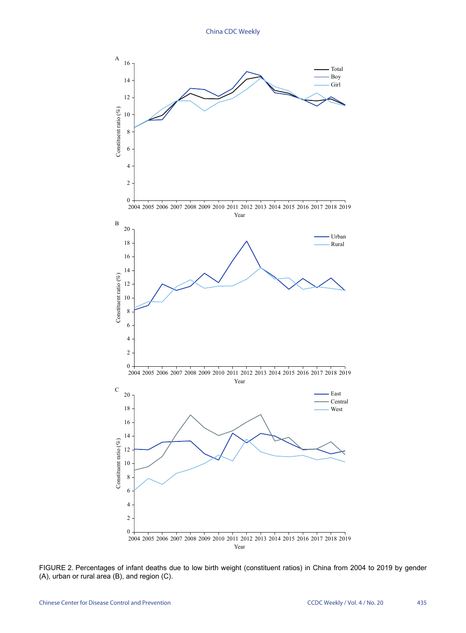<span id="page-4-0"></span>

FIGURE 2. Percentages of infant deaths due to low birth weight (constituent ratios) in China from 2004 to 2019 by gender (A), urban or rural area (B), and region (C).